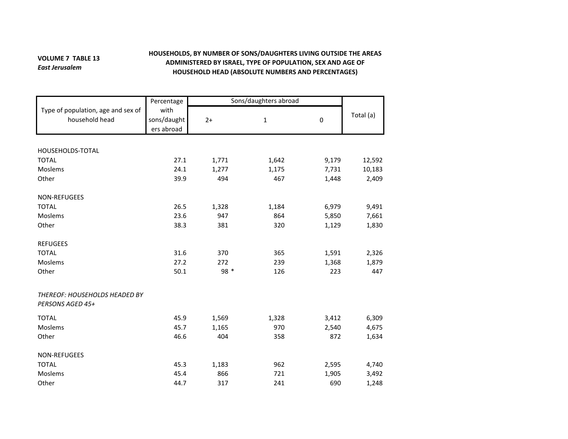## **VOLUME 7 TABLE 13** *East Jerusalem*

## **HOUSEHOLDS, BY NUMBER OF SONS/DAUGHTERS LIVING OUTSIDE THE AREAS ADMINISTERED BY ISRAEL, TYPE OF POPULATION, SEX AND AGE OF HOUSEHOLD HEAD (ABSOLUTE NUMBERS AND PERCENTAGES)**

|                                                          | Percentage                        | Sons/daughters abroad |              |       |           |
|----------------------------------------------------------|-----------------------------------|-----------------------|--------------|-------|-----------|
| Type of population, age and sex of<br>household head     | with<br>sons/daught<br>ers abroad | $2+$                  | $\mathbf{1}$ | 0     | Total (a) |
|                                                          |                                   |                       |              |       |           |
| HOUSEHOLDS-TOTAL                                         |                                   |                       |              |       |           |
| <b>TOTAL</b>                                             | 27.1                              | 1,771                 | 1,642        | 9,179 | 12,592    |
| Moslems                                                  | 24.1                              | 1,277                 | 1,175        | 7,731 | 10,183    |
| Other                                                    | 39.9                              | 494                   | 467          | 1,448 | 2,409     |
| NON-REFUGEES                                             |                                   |                       |              |       |           |
| <b>TOTAL</b>                                             | 26.5                              | 1,328                 | 1,184        | 6,979 | 9,491     |
| Moslems                                                  | 23.6                              | 947                   | 864          | 5,850 | 7,661     |
| Other                                                    | 38.3                              | 381                   | 320          | 1,129 | 1,830     |
| <b>REFUGEES</b>                                          |                                   |                       |              |       |           |
| <b>TOTAL</b>                                             | 31.6                              | 370                   | 365          | 1,591 | 2,326     |
| Moslems                                                  | 27.2                              | 272                   | 239          | 1,368 | 1,879     |
| Other                                                    | 50.1                              | 98 *                  | 126          | 223   | 447       |
| <b>THEREOF: HOUSEHOLDS HEADED BY</b><br>PERSONS AGED 45+ |                                   |                       |              |       |           |
| <b>TOTAL</b>                                             | 45.9                              | 1,569                 | 1,328        | 3,412 | 6,309     |
| Moslems                                                  | 45.7                              | 1,165                 | 970          | 2,540 | 4,675     |
| Other                                                    | 46.6                              | 404                   | 358          | 872   | 1,634     |
| NON-REFUGEES                                             |                                   |                       |              |       |           |
| <b>TOTAL</b>                                             | 45.3                              | 1,183                 | 962          | 2,595 | 4,740     |
| Moslems                                                  | 45.4                              | 866                   | 721          | 1,905 | 3,492     |
| Other                                                    | 44.7                              | 317                   | 241          | 690   | 1,248     |